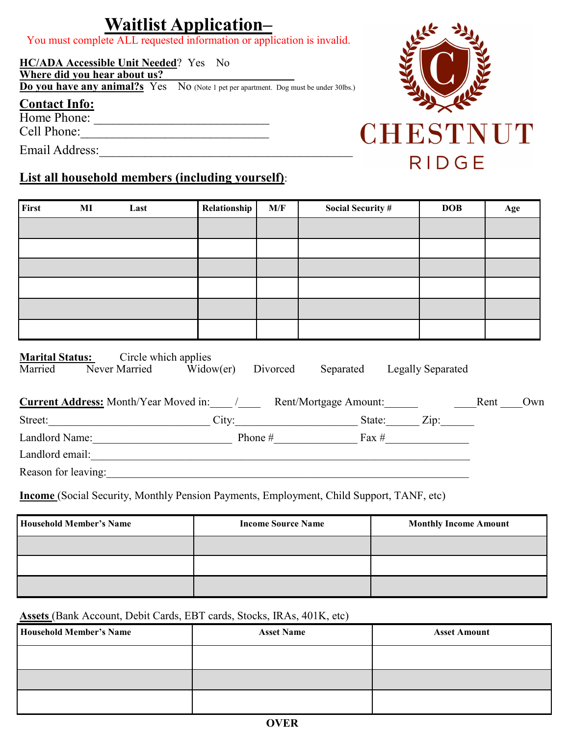## **Waitlist Application–**

You must complete ALL requested information or application is invalid.

#### **HC/ADA Accessible Unit Needed**? Yes No

**Where did you hear about us?** \_\_\_\_\_\_\_\_\_\_\_\_\_\_\_\_\_\_\_\_\_\_\_

**Do you have any animal?s** Yes No (Note 1 pet per apartment. Dog must be under 30lbs.)

#### **Contact Info:**

Home Phone:

Cell Phone:\_\_\_\_\_\_\_\_\_\_\_\_\_\_\_\_\_\_\_\_\_\_\_\_\_\_\_\_\_

Email Address:\_\_\_\_\_\_\_\_\_\_\_\_\_\_\_\_\_\_\_\_\_\_\_\_\_\_\_\_\_\_\_\_\_\_\_\_\_\_\_

### **List all household members (including yourself)**:

| First                                                                | MI                                        | Last                                                                                                                                                                                                                          | Relationship | M/F                       | <b>Social Security #</b> |  | <b>DOB</b>                  |  | Age |
|----------------------------------------------------------------------|-------------------------------------------|-------------------------------------------------------------------------------------------------------------------------------------------------------------------------------------------------------------------------------|--------------|---------------------------|--------------------------|--|-----------------------------|--|-----|
|                                                                      |                                           |                                                                                                                                                                                                                               |              |                           |                          |  |                             |  |     |
|                                                                      |                                           |                                                                                                                                                                                                                               |              |                           |                          |  |                             |  |     |
|                                                                      |                                           |                                                                                                                                                                                                                               |              |                           |                          |  |                             |  |     |
|                                                                      |                                           |                                                                                                                                                                                                                               |              |                           |                          |  |                             |  |     |
|                                                                      |                                           |                                                                                                                                                                                                                               |              |                           |                          |  |                             |  |     |
|                                                                      |                                           |                                                                                                                                                                                                                               |              |                           |                          |  |                             |  |     |
|                                                                      |                                           |                                                                                                                                                                                                                               |              |                           |                          |  |                             |  |     |
|                                                                      |                                           |                                                                                                                                                                                                                               |              |                           |                          |  |                             |  |     |
|                                                                      |                                           | <b>Marital Status:</b> Circle which applies<br>Married Never Married Widow(er) Divorced<br>Current Address: Month/Year Moved in: \times\] Rent/Mortgage Amount: \times\] Rent \times\___ Own                                  |              |                           |                          |  | Separated Legally Separated |  |     |
|                                                                      |                                           |                                                                                                                                                                                                                               |              |                           |                          |  |                             |  |     |
| Street: <u>City:</u> City: City: State: Zip:                         |                                           |                                                                                                                                                                                                                               |              |                           |                          |  |                             |  |     |
| Landlord Name: Phone # $\frac{H_{\text{max}}}{H_{\text{max}}}$ Fax # |                                           |                                                                                                                                                                                                                               |              |                           |                          |  |                             |  |     |
|                                                                      | Landlord email:<br><u>Landlord email:</u> |                                                                                                                                                                                                                               |              |                           |                          |  |                             |  |     |
|                                                                      |                                           | Reason for leaving: 1988. The Contract of the Contract of the Contract of the Contract of the Contract of the Contract of the Contract of the Contract of the Contract of the Contract of the Contract of the Contract of the |              |                           |                          |  |                             |  |     |
|                                                                      |                                           | <b>Income</b> (Social Security, Monthly Pension Payments, Employment, Child Support, TANF, etc)                                                                                                                               |              |                           |                          |  |                             |  |     |
| Household Member's Name                                              |                                           |                                                                                                                                                                                                                               |              | <b>Income Source Name</b> |                          |  |                             |  |     |

| <b>Household Member's Name</b> | <b>Income Source Name</b> | <b>Monthly Income Amount</b> |
|--------------------------------|---------------------------|------------------------------|
|                                |                           |                              |
|                                |                           |                              |
|                                |                           |                              |

**Assets** (Bank Account, Debit Cards, EBT cards, Stocks, IRAs, 401K, etc)

| <b>Household Member's Name</b> | <b>Asset Name</b> | <b>Asset Amount</b> |
|--------------------------------|-------------------|---------------------|
|                                |                   |                     |
|                                |                   |                     |
|                                |                   |                     |



# CHESTNUT **RIDGE**